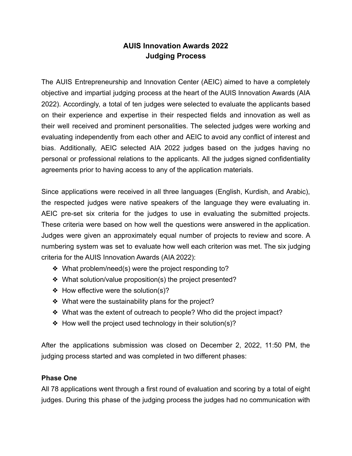## **AUIS Innovation Awards 2022 Judging Process**

The AUIS Entrepreneurship and Innovation Center (AEIC) aimed to have a completely objective and impartial judging process at the heart of the AUIS Innovation Awards (AIA 2022). Accordingly, a total of ten judges were selected to evaluate the applicants based on their experience and expertise in their respected fields and innovation as well as their well received and prominent personalities. The selected judges were working and evaluating independently from each other and AEIC to avoid any conflict of interest and bias. Additionally, AEIC selected AIA 2022 judges based on the judges having no personal or professional relations to the applicants. All the judges signed confidentiality agreements prior to having access to any of the application materials.

Since applications were received in all three languages (English, Kurdish, and Arabic), the respected judges were native speakers of the language they were evaluating in. AEIC pre-set six criteria for the judges to use in evaluating the submitted projects. These criteria were based on how well the questions were answered in the application. Judges were given an approximately equal number of projects to review and score. A numbering system was set to evaluate how well each criterion was met. The six judging criteria for the AUIS Innovation Awards (AIA 2022):

- ❖ What problem/need(s) were the project responding to?
- ❖ What solution/value proposition(s) the project presented?
- ❖ How effective were the solution(s)?
- ❖ What were the sustainability plans for the project?
- ❖ What was the extent of outreach to people? Who did the project impact?
- ❖ How well the project used technology in their solution(s)?

After the applications submission was closed on December 2, 2022, 11:50 PM, the judging process started and was completed in two different phases:

## **Phase One**

All 78 applications went through a first round of evaluation and scoring by a total of eight judges. During this phase of the judging process the judges had no communication with